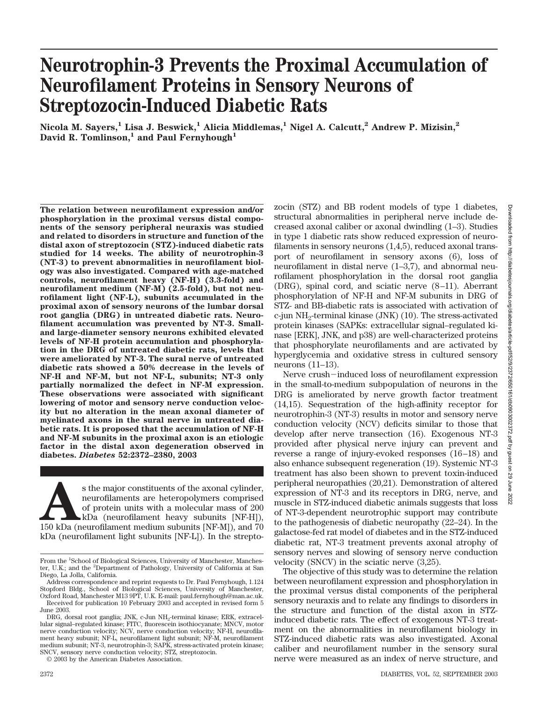# **Neurotrophin-3 Prevents the Proximal Accumulation of Neurofilament Proteins in Sensory Neurons of Streptozocin-Induced Diabetic Rats**

**Nicola M. Sayers,1 Lisa J. Beswick,1 Alicia Middlemas,1 Nigel A. Calcutt,2 Andrew P. Mizisin,2** David R. Tomlinson,<sup>1</sup> and Paul Fernyhough<sup>1</sup>

**The relation between neurofilament expression and/or phosphorylation in the proximal versus distal components of the sensory peripheral neuraxis was studied and related to disorders in structure and function of the distal axon of streptozocin (STZ)-induced diabetic rats studied for 14 weeks. The ability of neurotrophin-3 (NT-3) to prevent abnormalities in neurofilament biology was also investigated. Compared with age-matched controls, neurofilament heavy (NF-H) (3.3-fold) and neurofilament medium (NF-M) (2.5-fold), but not neurofilament light (NF-L), subunits accumulated in the proximal axon of sensory neurons of the lumbar dorsal root ganglia (DRG) in untreated diabetic rats. Neurofilament accumulation was prevented by NT-3. Smalland large-diameter sensory neurons exhibited elevated levels of NF-H protein accumulation and phosphorylation in the DRG of untreated diabetic rats, levels that were ameliorated by NT-3. The sural nerve of untreated diabetic rats showed a 50% decrease in the levels of NF-H and NF-M, but not NF-L, subunits; NT-3 only partially normalized the defect in NF-M expression. These observations were associated with significant lowering of motor and sensory nerve conduction velocity but no alteration in the mean axonal diameter of myelinated axons in the sural nerve in untreated diabetic rats. It is proposed that the accumulation of NF-H and NF-M subunits in the proximal axon is an etiologic factor in the distal axon degeneration observed in diabetes.** *Diabetes* **52:2372–2380, 2003**

 $\blacksquare$  <br> As the major constituents of the axonal cylinder, neurofilaments are heteropolymers comprised of protein units with a molecular mass of 200 kDa (neurofilament medium subunits [NF-M]), and 70 kDa (neurofilament me neurofilaments are heteropolymers comprised of protein units with a molecular mass of 200 kDa (neurofilament heavy subunits [NF-H]), kDa (neurofilament light subunits [NF-L]). In the strepto-

© 2003 by the American Diabetes Association.

zocin (STZ) and BB rodent models of type 1 diabetes, structural abnormalities in peripheral nerve include decreased axonal caliber or axonal dwindling (1–3). Studies in type 1 diabetic rats show reduced expression of neurofilaments in sensory neurons (1,4,5), reduced axonal transport of neurofilament in sensory axons (6), loss of neurofilament in distal nerve (1–3,7), and abnormal neurofilament phosphorylation in the dorsal root ganglia (DRG), spinal cord, and sciatic nerve (8–11). Aberrant phosphorylation of NF-H and NF-M subunits in DRG of STZ- and BB-diabetic rats is associated with activation of c-jun NH2-terminal kinase (JNK) (10). The stress-activated protein kinases (SAPKs: extracellular signal–regulated kinase [ERK], JNK, and p38) are well-characterized proteins that phosphorylate neurofilaments and are activated by hyperglycemia and oxidative stress in cultured sensory neurons (11–13).

Nerve crush-induced loss of neurofilament expression in the small-to-medium subpopulation of neurons in the DRG is ameliorated by nerve growth factor treatment (14,15). Sequestration of the high-affinity receptor for neurotrophin-3 (NT-3) results in motor and sensory nerve conduction velocity (NCV) deficits similar to those that develop after nerve transection (16). Exogenous NT-3 provided after physical nerve injury can prevent and reverse a range of injury-evoked responses (16–18) and also enhance subsequent regeneration (19). Systemic NT-3 treatment has also been shown to prevent toxin-induced peripheral neuropathies (20,21). Demonstration of altered expression of NT-3 and its receptors in DRG, nerve, and muscle in STZ-induced diabetic animals suggests that loss of NT-3-dependent neurotrophic support may contribute to the pathogenesis of diabetic neuropathy (22–24). In the galactose-fed rat model of diabetes and in the STZ-induced diabetic rat, NT-3 treatment prevents axonal atrophy of sensory nerves and slowing of sensory nerve conduction velocity (SNCV) in the sciatic nerve (3,25).

The objective of this study was to determine the relation between neurofilament expression and phosphorylation in the proximal versus distal components of the peripheral sensory neuraxis and to relate any findings to disorders in the structure and function of the distal axon in STZinduced diabetic rats. The effect of exogenous NT-3 treatment on the abnormalities in neurofilament biology in STZ-induced diabetic rats was also investigated. Axonal caliber and neurofilament number in the sensory sural nerve were measured as an index of nerve structure, and

From the <sup>1</sup>School of Biological Sciences, University of Manchester, Manchester, U.K.; and the <sup>2</sup>Department of Pathology, University of California at San Diego, La Jolla, California.

Address correspondence and reprint requests to Dr. Paul Fernyhough, 1.124 Stopford Bldg., School of Biological Sciences, University of Manchester, Oxford Road, Manchester M13 9PT, U.K. E-mail: paul.fernyhough@man.ac.uk.

Received for publication 10 February 2003 and accepted in revised form 5 June 2003.

DRG, dorsal root ganglia; JNK, c-Jun NH<sub>2</sub>-terminal kinase; ERK, extracellular signal–regulated kinase; FITC, fluorescein isothiocyanate; MNCV, motor nerve conduction velocity; NCV, nerve conduction velocity; NF-H, neurofilament heavy subunit; NF-L, neurofilament light subunit; NF-M, neurofilament medium subunit; NT-3, neurotrophin-3; SAPK, stress-activated protein kinase; SNCV, sensory nerve conduction velocity; STZ, streptozocin.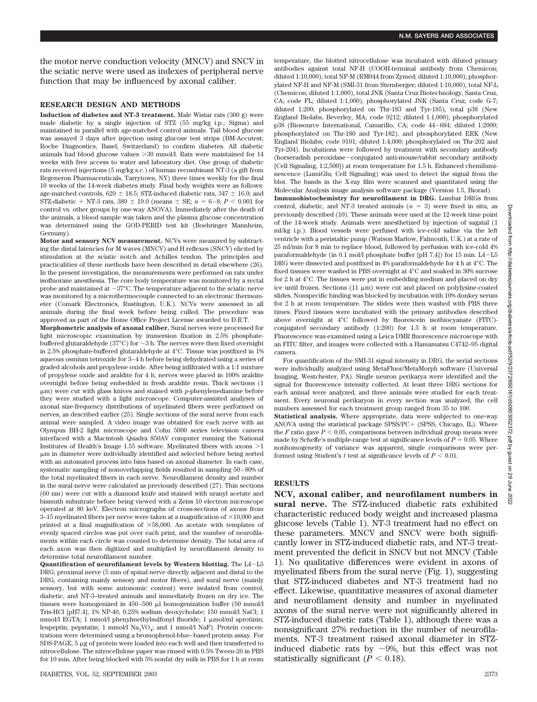the motor nerve conduction velocity (MNCV) and SNCV in the sciatic nerve were used as indexes of peripheral nerve function that may be influenced by axonal caliber.

# **RESEARCH DESIGN AND METHODS**

**Induction of diabetes and NT-3 treatment.** Male Wistar rats (300 g) were made diabetic by a single injection of STZ (55 mg/kg i.p.; Sigma) and maintained in parallel with age-matched control animals. Tail blood glucose was assayed 3 days after injection using glucose test strips (BM-Accutest; Roche Diagnostics, Basel, Switzerland) to confirm diabetes. All diabetic animals had blood glucose values -30 mmol/l. Rats were maintained for 14 weeks with free access to water and laboratory diet. One group of diabetic rats received injections (5 mg/kg s.c.) of human recombinant NT-3 (a gift from Regeneron Pharmaceuticals, Tarrytown, NY) three times weekly for the final 10 weeks of the 14-week diabetes study. Final body weights were as follows: age-matched controls,  $629 \pm 18.5$ ; STZ-induced diabetic rats,  $347 \pm 16.0$ ; and STZ-diabetic + NT-3 rats,  $389 \pm 19.0$  (means  $\pm$  SE;  $n = 6-8$ ;  $P < 0.001$  for control vs. other groups by one-way ANOVA). Immediately after the death of the animals, a blood sample was taken and the plasma glucose concentration was determined using the GOD-PERID test kit (Boehringer Mannheim, Germany).

**Motor and sensory NCV measurement.** NCVs were measured by subtracting the distal latencies for M waves (MNCV) and H reflexes (SNCV) elicited by stimulation at the sciatic notch and Achilles tendon. The principles and practicalities of these methods have been described in detail elsewhere (26). In the present investigation, the measurements were performed on rats under isofluorane anesthesia. The core body temperature was monitored by a rectal probe and maintained at  $\sim$  37°C. The temperature adjacent to the sciatic nerve was monitored by a microthermocouple connected to an electronic thermometer (Comark Electronics, Rustington, U.K.). NCVs were assessed in all animals during the final week before being culled. The procedure was approved as part of the Home Office Project License awarded to D.R.T.

**Morphometric analysis of axonal caliber.** Sural nerves were processed for light microscopic examination by immersion fixation in 2.5% phosphatebuffered glutaraldehyde (37 $^{\circ}$ C) for  $\sim$ 3 h. The nerves were then fixed overnight in 2.5% phosphate-buffered glutaraldehyde at 4°C. Tissue was postfixed in 1% aqueous osmium tetroxide for 3–4 h before being dehydrated using a series of graded alcohols and propylene oxide. After being infiltrated with a 1:1 mixture of propylene oxide and araldite for 4 h, nerves were placed in 100% araldite overnight before being embedded in fresh araldite resin. Thick sections (1 m) were cut with glass knives and stained with *p*-phenylenediamine before they were studied with a light microscope. Computer-assisted analyses of axonal size-frequency distributions of myelinated fibers were performed on nerves, as described earlier (25). Single sections of the sural nerve from each animal were sampled. A video image was obtained for each nerve with an Olympus BH-2 light microscope and Cohu 5000 series television camera interfaced with a Macintosh Quadra 850AV computer running the National Institutes of Health's Image  $1.55$  software. Myelinated fibers with axons  $>1$ m in diameter were individually identified and selected before being sorted with an automated process into bins based on axonal diameter. In each case, systematic sampling of nonoverlapping fields resulted in sampling 50–80% of the total myelinated fibers in each nerve. Neurofilament density and number in the sural nerve were calculated as previously described (27). Thin sections (60 nm) were cut with a diamond knife and stained with uranyl acetate and bismuth subnitrate before being viewed with a Zeiss 10 electron microscope operated at 80 keV. Electron micrographs of cross-sections of axons from 3–15 myelinated fibers per nerve were taken at a magnification of  $\times 10,000$  and printed at a final magnification of  $\times 58,000$ . An acetate with templates of evenly spaced circles was put over each print, and the number of neurofilaments within each circle was counted to determine density. The total area of each axon was then digitized and multiplied by neurofilament density to determine total neurofilament number.

**Quantification of neurofilament levels by Western blotting.** The L4-L5 DRG, proximal nerve (5 mm of spinal nerve directly adjacent and distal to the DRG, containing mainly sensory and motor fibers), and sural nerve (mainly sensory, but with some autonomic content) were isolated from control, diabetic, and NT-3–treated animals and immediately frozen on dry ice. The tissues were homogenized in  $450-500$  µl homogenization buffer (50 mmol/l Tris-HCl [pH7.4], 1% NP-40, 0.25% sodium deoxycholate; 150 mmol/l NaCl; 1 mmol/l EGTA; 1 mmol/l phenylmethylsulfonyl fluoride; 1  $\mu$ mol/ml aprotinin; leupeptin; pepstatin; 1 mmol/l  $\text{Na}_3\text{VO}_4$ ; and 1 mmol/l NaF). Protein concentrations were determined using a bromophenol-blue–based protein assay. For SDS-PAGE,  $5 \mu$ g of protein were loaded into each well and then transferred to nitrocellulose. The nitrocellulose paper was rinsed with 0.5% Tween-20 in PBS for 10 min. After being blocked with 5% nonfat dry milk in PBS for 1 h at room temperature, the blotted nitrocellulose was incubated with diluted primary antibodies against total NF-H (COOH-terminal antibody from Chemicon; diluted 1:10,000), total NF-M (RM044 from Zymed; diluted 1:10,000), phosphorylated NF-H and NF-M (SMI-31 from Sternberger; diluted 1:10,000), total NF-L (Chemicon; diluted 1:1,000), total JNK (Santa Cruz Biotechnology, Santa Cruz, CA; code FL; diluted 1:1,000), phosphorylated JNK (Santa Cruz; code G-7; diluted 1:200; phosphorylated on Thr-183 and Tyr-185), total p38 (New England Biolabs, Beverley, MA; code 9212; diluted 1:1,000), phosphorylated p38 (Biosource International, Camarillo, CA; code 44–684; diluted 1:2000; phosphorylated on Thr-180 and Tyr-182), and phosphorylated ERK (New England Biolabs; code 9101; diluted 1:4,000; phosphorylated on Thr-202 and Tyr-204). Incubations were followed by treatment with secondary antibody (horseradish peroxidase-conjugated anti-mouse/rabbit secondary antibody [Cell Signaling, 1:2,500]) at room temperature for 1.5 h. Enhanced chemiluminescence (LumiGlu; Cell Signaling) was used to detect the signal from the blot. The bands in the X-ray film were scanned and quantitated using the Molecular Analysis image analysis software package (Version 1.5, Biorad).

**Immunohistochemistry for neurofilament in DRG.** Lumbar DRGs from control, diabetic, and NT-3 treated animals  $(n = 3)$  were fixed in situ, as previously described (10). These animals were used at the 12-week time point of the 14-week study. Animals were anesthetized by injection of sagatal (1 ml/kg i.p.). Blood vessels were perfused with ice-cold saline via the left ventricle with a peristaltic pump (Watson Marlow, Falmouth, U.K.) at a rate of 25 ml/min for 8 min to replace blood, followed by perfusion with ice-cold 4% paraformaldehyde (in  $0.1$  mol/l phosphate buffer [pH 7.4]) for 15 min.  $L4-L5$ DRG were dissected and postfixed in 4% paraformaldehyde for 4 h at 4°C. The fixed tissues were washed in PBS overnight at 4°C and soaked in 30% sucrose for 2 h at 4°C. The tissues were put in embedding medium and placed on dry ice until frozen. Sections (11  $\mu$ m) were cut and placed on polylysine-coated slides. Nonspecific binding was blocked by incubation with 10% donkey serum for 2 h at room temperature. The slides were then washed with PBS three times. Fixed tissues were incubated with the primary antibodies described above overnight at 4°C followed by fluorescein isothiocyanate (FITC) conjugated secondary antibody (1:200) for 1.5 h at room temperature. Fluorescence was examined using a Leica DMR fluorescence microscope with an FITC filter, and images were collected with a Hamamatsu C4742–95 digital camera.

For quantification of the SMI-31 signal intensity in DRG, the serial sections were individually analyzed using MetaFluor/MetaMorph software (Universal Imaging, Westchester, PA). Single neuron perikarya were identified and the signal for fluorescence intensity collected. At least three DRG sections for each animal were analyzed, and three animals were studied for each treatment. Every neuronal perikaryon in every section was analyzed; the cell numbers assessed for each treatment group ranged from 35 to 100.

**Statistical analysis.** Where appropriate, data were subjected to one-way ANOVA using the statistical package  $SPSS/PC + (SPSS, Chicago, IL)$ . Where the  $F$  ratio gave  $P < 0.05$ , comparisons between individual group means were made by Scheffe's multiple-range test at significance levels of  $P = 0.05$ . Where nonhomogeneity of variance was apparent, single comparisons were performed using Student's  $t$  test at significance levels of  $P < 0.01$ .

## **RESULTS**

**NCV, axonal caliber, and neurofilament numbers in sural nerve.** The STZ-induced diabetic rats exhibited characteristic reduced body weight and increased plasma glucose levels (Table 1). NT-3 treatment had no effect on these parameters. MNCV and SNCV were both significantly lower in STZ-induced diabetic rats, and NT-3 treatment prevented the deficit in SNCV but not MNCV (Table 1). No qualitative differences were evident in axons of myelinated fibers from the sural nerve (Fig. 1), suggesting that STZ-induced diabetes and NT-3 treatment had no effect. Likewise, quantitative measures of axonal diameter and neurofilament density and number in myelinated axons of the sural nerve were not significantly altered in STZ-induced diabetic rats (Table 1), although there was a nonsignificant 27% reduction in the number of neurofilaments. NT-3 treatment raised axonal diameter in STZinduced diabetic rats by  $\sim 9\%$ , but this effect was not statistically significant  $(P < 0.18)$ .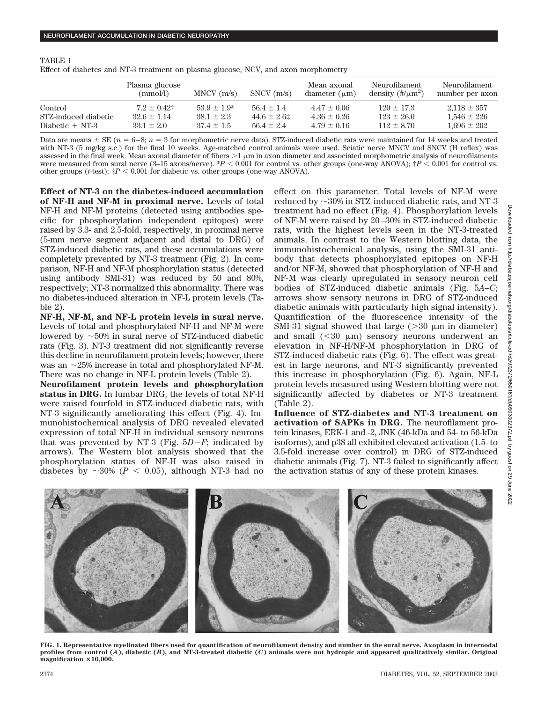| TABLE 1                                                                            |
|------------------------------------------------------------------------------------|
| Effect of diabetes and NT-3 treatment on plasma glucose, NCV, and axon morphometry |
|                                                                                    |

|                      | Plasma glucose<br>(mmol/l) | $MNCV$ (m/s)     | $SNCV$ $(m/s)$ | Mean axonal<br>diameter $(\mu m)$ | Neurofilament<br>density $(\frac{\text{H}}{\mu}m^2)$ | Neurofilament<br>number per axon |
|----------------------|----------------------------|------------------|----------------|-----------------------------------|------------------------------------------------------|----------------------------------|
| Control              | $7.2 \pm 0.42$             | $53.9 \pm 1.9^*$ | $56.4 \pm 1.4$ | $4.47 \pm 0.06$                   | $120 \pm 17.3$                                       | $2.118 \pm 357$                  |
| STZ-induced diabetic | $32.6 \pm 1.14$            | $38.1 \pm 2.3$   | $44.6 \pm 2.6$ | $4.36 \pm 0.26$                   | $123 \pm 26.0$                                       | $1.546 \pm 226$                  |
| Diabetic $+$ NT-3    | $33.1 \pm 2.0$             | $37.4 \pm 1.5$   | $56.4 \pm 2.4$ | $4.79 \pm 0.16$                   | $112 \pm 8.70$                                       | $1,696 \pm 202$                  |

Data are means  $\pm$  SE ( $n = 6-8$ ;  $n = 3$  for morphometric nerve data). STZ-induced diabetic rats were maintained for 14 weeks and treated with NT-3 (5 mg/kg s.c.) for the final 10 weeks. Age-matched control animals were used. Sciatic nerve MNCV and SNCV (H reflex) was assessed in the final week. Mean axonal diameter of fibers  $>1 \mu m$  in axon diameter and associated morphometric analysis of neurofilaments were measured from sural nerve  $(3-15 \text{ axons/nerve})$ . \* $P < 0.001$  for control vs. other groups (one-way ANOVA);  $\dagger P < 0.001$  for control vs. other groups (*t*-test);  $\dot{x}P < 0.001$  for diabetic vs. other groups (one-way ANOVA).

**Effect of NT-3 on the diabetes-induced accumulation of NF-H and NF-M in proximal nerve.** Levels of total NF-H and NF-M proteins (detected using antibodies specific for phosphorylation independent epitopes) were raised by 3.3- and 2.5-fold, respectively, in proximal nerve (5-mm nerve segment adjacent and distal to DRG) of STZ-induced diabetic rats, and these accumulations were completely prevented by NT-3 treatment (Fig. 2). In comparison, NF-H and NF-M phosphorylation status (detected using antibody SMI-31) was reduced by 50 and 80%, respectively; NT-3 normalized this abnormality. There was no diabetes-induced alteration in NF-L protein levels (Table 2).

**NF-H, NF-M, and NF-L protein levels in sural nerve.** Levels of total and phosphorylated NF-H and NF-M were lowered by  $\sim$  50% in sural nerve of STZ-induced diabetic rats (Fig. 3). NT-3 treatment did not significantly reverse this decline in neurofilament protein levels; however, there was an  $\sim$ 25% increase in total and phosphorylated NF-M. There was no change in NF-L protein levels (Table 2).

**Neurofilament protein levels and phosphorylation status in DRG.** In lumbar DRG, the levels of total NF-H were raised fourfold in STZ-induced diabetic rats, with NT-3 significantly ameliorating this effect (Fig. 4). Immunohistochemical analysis of DRG revealed elevated expression of total NF-H in individual sensory neurons that was prevented by NT-3 (Fig.  $5D-F$ ; indicated by arrows). The Western blot analysis showed that the phosphorylation status of NF-H was also raised in diabetes by  $\sim 30\%$  ( $P < 0.05$ ), although NT-3 had no effect on this parameter. Total levels of NF-M were reduced by  $\sim$ 30% in STZ-induced diabetic rats, and NT-3 treatment had no effect (Fig. 4). Phosphorylation levels of NF-M were raised by 20 –30% in STZ-induced diabetic rats, with the highest levels seen in the NT-3-treated animals. In contrast to the Western blotting data, the immunohistochemical analysis, using the SMI-31 antibody that detects phosphorylated epitopes on NF-H and/or NF-M, showed that phosphorylation of NF-H and NF-M was clearly upregulated in sensory neuron cell bodies of STZ-induced diabetic animals (Fig. 5*A*–*C*; arrows show sensory neurons in DRG of STZ-induced diabetic animals with particularly high signal intensity). Quantification of the fluorescence intensity of the SMI-31 signal showed that large  $(>30 \mu m)$  in diameter) and small  $( $30 \mu m$ ) sensory neurons underwent an$ elevation in NF-H/NF-M phosphorylation in DRG of STZ-induced diabetic rats (Fig. 6). The effect was greatest in large neurons, and NT-3 significantly prevented this increase in phosphorylation (Fig. 6). Again, NF-L protein levels measured using Western blotting were not significantly affected by diabetes or NT-3 treatment (Table 2).

**Influence of STZ-diabetes and NT-3 treatment on activation of SAPKs in DRG.** The neurofilament protein kinases, ERK-1 and -2, JNK (46-kDa and 54- to 56-kDa isoforms), and p38 all exhibited elevated activation (1.5- to 3.5-fold increase over control) in DRG of STZ-induced diabetic animals (Fig. 7). NT-3 failed to significantly affect the activation status of any of these protein kinases.



**FIG. 1. Representative myelinated fibers used for quantification of neurofilament density and number in the sural nerve. Axoplasm in internodal profiles from control (***A***), diabetic (***B***), and NT-3-treated diabetic (***C***) animals were not hydropic and appeared qualitatively similar. Original magnification 10,000.**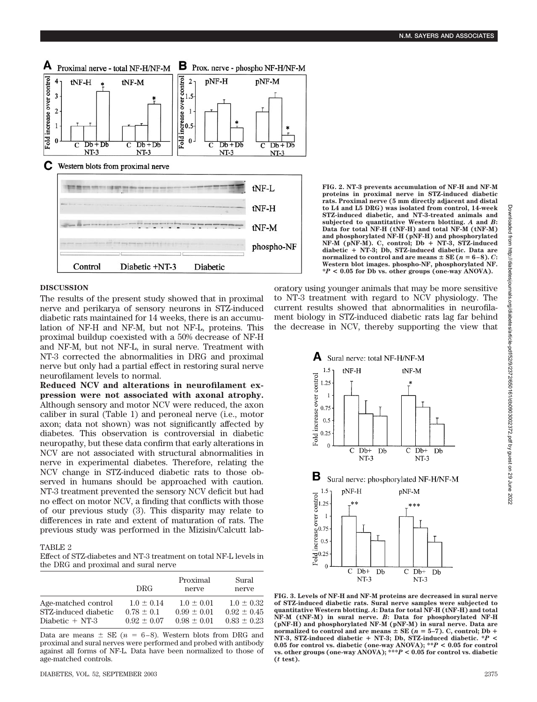

#### **FIG. 2. NT-3 prevents accumulation of NF-H and NF-M proteins in proximal nerve in STZ-induced diabetic rats. Proximal nerve (5 mm directly adjacent and distal to L4 and L5 DRG) was isolated from control, 14-week STZ-induced diabetic, and NT-3-treated animals and subjected to quantitative Western blotting.** *A* **and** *B***: Data for total NF-H (tNF-H) and total NF-M (tNF-M) and phosphorylated NF-H (pNF-H) and phosphorylated**  $NF-M$  (pNF-M). C, control; Db + NT-3, STZ-induced **diabetic** - **NT-3; Db, STZ-induced diabetic. Data are normalized to control and are means**  $\pm$  **SE (** $n = 6-8$ **).** *C***: Western blot images. phospho-NF, phosphorylated NF. \****P* **< 0.05 for Db vs. other groups (one-way ANOVA).**

### **DISCUSSION**

The results of the present study showed that in proximal nerve and perikarya of sensory neurons in STZ-induced diabetic rats maintained for 14 weeks, there is an accumulation of NF-H and NF-M, but not NF-L, proteins. This proximal buildup coexisted with a 50% decrease of NF-H and NF-M, but not NF-L, in sural nerve. Treatment with NT-3 corrected the abnormalities in DRG and proximal nerve but only had a partial effect in restoring sural nerve neurofilament levels to normal.

**Reduced NCV and alterations in neurofilament expression were not associated with axonal atrophy.** Although sensory and motor NCV were reduced, the axon caliber in sural (Table 1) and peroneal nerve (i.e., motor axon; data not shown) was not significantly affected by diabetes. This observation is controversial in diabetic neuropathy, but these data confirm that early alterations in NCV are not associated with structural abnormalities in nerve in experimental diabetes. Therefore, relating the NCV change in STZ-induced diabetic rats to those observed in humans should be approached with caution. NT-3 treatment prevented the sensory NCV deficit but had no effect on motor NCV, a finding that conflicts with those of our previous study (3). This disparity may relate to differences in rate and extent of maturation of rats. The previous study was performed in the Mizisin/Calcutt lab-

## TABLE 2

Effect of STZ-diabetes and NT-3 treatment on total NF-L levels in the DRG and proximal and sural nerve

|                      | DRG-           | Proximal<br>nerve | Sural<br>nerve |
|----------------------|----------------|-------------------|----------------|
| Age-matched control  | $1.0 \pm 0.14$ | $1.0 + 0.01$      | $1.0 \pm 0.32$ |
| STZ-induced diabetic | $0.78 \pm 0.1$ | $0.99 + 0.01$     | $0.92 + 0.45$  |
| Diabetic $+NT-3$     | $0.92 + 0.07$  | $0.98 \pm 0.01$   | $0.83 + 0.23$  |

Data are means  $\pm$  SE ( $n = 6-8$ ). Western blots from DRG and proximal and sural nerves were performed and probed with antibody against all forms of NF-L. Data have been normalized to those of age-matched controls.

oratory using younger animals that may be more sensitive to NT-3 treatment with regard to NCV physiology. The current results showed that abnormalities in neurofilament biology in STZ-induced diabetic rats lag far behind the decrease in NCV, thereby supporting the view that



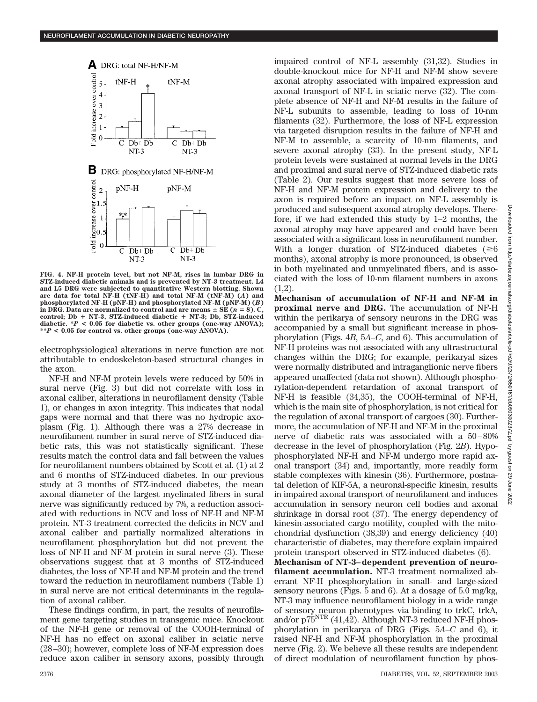

**FIG. 4. NF-H protein level, but not NF-M, rises in lumbar DRG in STZ-induced diabetic animals and is prevented by NT-3 treatment. L4 and L5 DRG were subjected to quantitative Western blotting. Shown are data for total NF-H (tNF-H) and total NF-M (tNF-M) (***A***) and phosphorylated NF-H (pNF-H) and phosphorylated NF-M (pNF-M) (***B***)** in DRG. Data are normalized to control and are means  $\pm$  SE ( $n = 8$ ). C, **control; Db** - **NT-3, STZ-induced diabetic** - **NT-3; Db, STZ-induced diabetic. \****P* **< 0.05 for diabetic vs. other groups (one-way ANOVA); \*\****P* **< 0.05 for control vs. other groups (one-way ANOVA).**

electrophysiological alterations in nerve function are not attributable to endoskeleton-based structural changes in the axon.

NF-H and NF-M protein levels were reduced by 50% in sural nerve (Fig. 3) but did not correlate with loss in axonal caliber, alterations in neurofilament density (Table 1), or changes in axon integrity. This indicates that nodal gaps were normal and that there was no hydropic axoplasm (Fig. 1). Although there was a 27% decrease in neurofilament number in sural nerve of STZ-induced diabetic rats, this was not statistically significant. These results match the control data and fall between the values for neurofilament numbers obtained by Scott et al. (1) at 2 and 6 months of STZ-induced diabetes. In our previous study at 3 months of STZ-induced diabetes, the mean axonal diameter of the largest myelinated fibers in sural nerve was significantly reduced by 7%, a reduction associated with reductions in NCV and loss of NF-H and NF-M protein. NT-3 treatment corrected the deficits in NCV and axonal caliber and partially normalized alterations in neurofilament phosphorylation but did not prevent the loss of NF-H and NF-M protein in sural nerve (3). These observations suggest that at 3 months of STZ-induced diabetes, the loss of NF-H and NF-M protein and the trend toward the reduction in neurofilament numbers (Table 1) in sural nerve are not critical determinants in the regulation of axonal caliber.

These findings confirm, in part, the results of neurofilament gene targeting studies in transgenic mice. Knockout of the NF-H gene or removal of the COOH-terminal of NF-H has no effect on axonal caliber in sciatic nerve (28–30); however, complete loss of NF-M expression does reduce axon caliber in sensory axons, possibly through impaired control of NF-L assembly (31,32). Studies in double-knockout mice for NF-H and NF-M show severe axonal atrophy associated with impaired expression and axonal transport of NF-L in sciatic nerve (32). The complete absence of NF-H and NF-M results in the failure of NF-L subunits to assemble, leading to loss of 10-nm filaments (32). Furthermore, the loss of NF-L expression via targeted disruption results in the failure of NF-H and NF-M to assemble, a scarcity of 10-nm filaments, and severe axonal atrophy (33). In the present study, NF-L protein levels were sustained at normal levels in the DRG and proximal and sural nerve of STZ-induced diabetic rats (Table 2). Our results suggest that more severe loss of NF-H and NF-M protein expression and delivery to the axon is required before an impact on NF-L assembly is produced and subsequent axonal atrophy develops. Therefore, if we had extended this study by 1–2 months, the axonal atrophy may have appeared and could have been associated with a significant loss in neurofilament number. With a longer duration of STZ-induced diabetes ( $\geq 6$ ) months), axonal atrophy is more pronounced, is observed in both myelinated and unmyelinated fibers, and is associated with the loss of 10-nm filament numbers in axons  $(1,2)$ .

**Mechanism of accumulation of NF-H and NF-M in proximal nerve and DRG.** The accumulation of NF-H within the perikarya of sensory neurons in the DRG was accompanied by a small but significant increase in phosphorylation (Figs. 4*B*, 5*A*–*C*, and 6). This accumulation of NF-H proteins was not associated with any ultrastructural changes within the DRG; for example, perikaryal sizes were normally distributed and intraganglionic nerve fibers appeared unaffected (data not shown). Although phosphorylation-dependent retardation of axonal transport of NF-H is feasible (34,35), the COOH-terminal of NF-H, which is the main site of phosphorylation, is not critical for the regulation of axonal transport of cargoes (30). Furthermore, the accumulation of NF-H and NF-M in the proximal nerve of diabetic rats was associated with a 50–80% decrease in the level of phosphorylation (Fig. 2*B*). Hypophosphorylated NF-H and NF-M undergo more rapid axonal transport (34) and, importantly, more readily form stable complexes with kinesin (36). Furthermore, postnatal deletion of KIF-5A, a neuronal-specific kinesin, results in impaired axonal transport of neurofilament and induces accumulation in sensory neuron cell bodies and axonal shrinkage in dorsal root (37). The energy dependency of kinesin-associated cargo motility, coupled with the mitochondrial dysfunction (38,39) and energy deficiency (40) characteristic of diabetes, may therefore explain impaired protein transport observed in STZ-induced diabetes (6).

**Mechanism of NT-3–dependent prevention of neurofilament accumulation.** NT-3 treatment normalized aberrant NF-H phosphorylation in small- and large-sized sensory neurons (Figs. 5 and 6). At a dosage of 5.0 mg/kg, NT-3 may influence neurofilament biology in a wide range of sensory neuron phenotypes via binding to trkC, trkA, and/or  $p75^{NTR}$  (41,42). Although NT-3 reduced NF-H phosphorylation in perikarya of DRG (Figs. 5*A*–*C* and 6), it raised NF-H and NF-M phosphorylation in the proximal nerve (Fig. 2). We believe all these results are independent of direct modulation of neurofilament function by phos-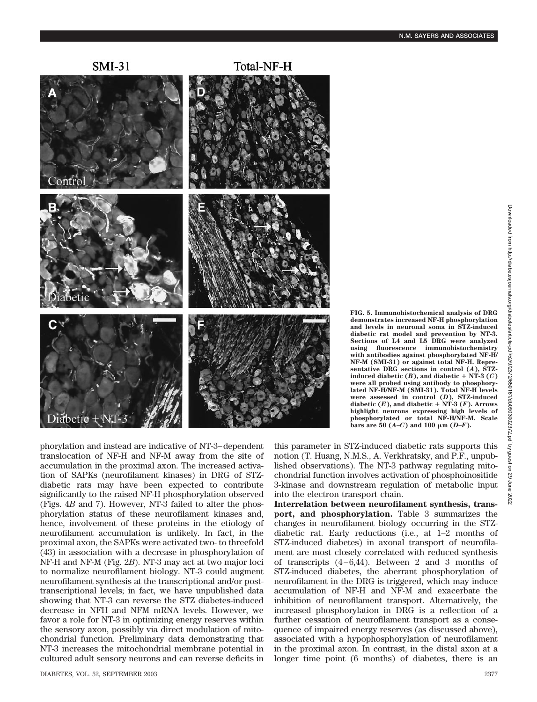

phorylation and instead are indicative of NT-3–dependent translocation of NF-H and NF-M away from the site of accumulation in the proximal axon. The increased activation of SAPKs (neurofilament kinases) in DRG of STZdiabetic rats may have been expected to contribute significantly to the raised NF-H phosphorylation observed (Figs. 4*B* and 7). However, NT-3 failed to alter the phosphorylation status of these neurofilament kinases and, hence, involvement of these proteins in the etiology of neurofilament accumulation is unlikely. In fact, in the proximal axon, the SAPKs were activated two- to threefold (43) in association with a decrease in phosphorylation of NF-H and NF-M (Fig. 2*B*). NT-3 may act at two major loci to normalize neurofilament biology. NT-3 could augment neurofilament synthesis at the transcriptional and/or posttranscriptional levels; in fact, we have unpublished data showing that NT-3 can reverse the STZ diabetes-induced decrease in NFH and NFM mRNA levels. However, we favor a role for NT-3 in optimizing energy reserves within the sensory axon, possibly via direct modulation of mitochondrial function. Preliminary data demonstrating that NT-3 increases the mitochondrial membrane potential in cultured adult sensory neurons and can reverse deficits in **FIG. 5. Immunohistochemical analysis of DRG demonstrates increased NF-H phosphorylation and levels in neuronal soma in STZ-induced diabetic rat model and prevention by NT-3. Sections of L4 and L5 DRG were analyzed using fluorescence immunohistochemistry with antibodies against phosphorylated NF-H/ NF-M (SMI-31) or against total NF-H. Representative DRG sections in control (***A***), STZ** $i$ **nduced diabetic**  $(B)$ **, and diabetic** + NT-3  $(C)$ **were all probed using antibody to phosphorylated NF-H/NF-M (SMI-31). Total NF-H levels were assessed in control (***D***), STZ-induced** diabetic  $(E)$ , and diabetic  $+$  NT-3  $(F)$ . Arrows **highlight neurons expressing high levels of phosphorylated or total NF-H/NF-M. Scale**  $\frac{1}{2}$  bars are 50 (*A–C*) and 100  $\mu$ m (*D–F*).

this parameter in STZ-induced diabetic rats supports this notion (T. Huang, N.M.S., A. Verkhratsky, and P.F., unpublished observations). The NT-3 pathway regulating mitochondrial function involves activation of phosphoinositide 3-kinase and downstream regulation of metabolic input into the electron transport chain.

**Interrelation between neurofilament synthesis, transport, and phosphorylation.** Table 3 summarizes the changes in neurofilament biology occurring in the STZdiabetic rat. Early reductions (i.e., at 1–2 months of STZ-induced diabetes) in axonal transport of neurofilament are most closely correlated with reduced synthesis of transcripts (4–6,44). Between 2 and 3 months of STZ-induced diabetes, the aberrant phosphorylation of neurofilament in the DRG is triggered, which may induce accumulation of NF-H and NF-M and exacerbate the inhibition of neurofilament transport. Alternatively, the increased phosphorylation in DRG is a reflection of a further cessation of neurofilament transport as a consequence of impaired energy reserves (as discussed above), associated with a hypophosphorylation of neurofilament in the proximal axon. In contrast, in the distal axon at a longer time point (6 months) of diabetes, there is an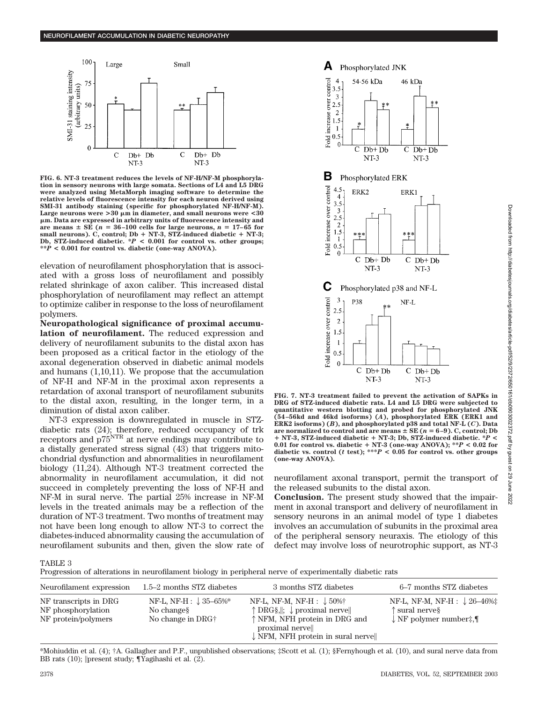

**FIG. 6. NT-3 treatment reduces the levels of NF-H/NF-M phosphorylation in sensory neurons with large somata. Sections of L4 and L5 DRG were analyzed using MetaMorph imaging software to determine the relative levels of fluorescence intensity for each neuron derived using SMI-31 antibody staining (specific for phosphorylated NF-H/NF-M). Large neurons were >30 m in diameter, and small neurons were <30 m. Data are expressed in arbitrary units of fluorescence intensity and** are means  $\pm$  SE ( $n = 36$ -100 cells for large neurons,  $n = 17$ -65 for small neurons). C, control; Db + NT-3, STZ-induced diabetic + NT-3; **Db, STZ-induced diabetic. \****P* **< 0.001 for control vs. other groups; \*\****P* **< 0.001 for control vs. diabetic (one-way ANOVA).**

elevation of neurofilament phosphorylation that is associated with a gross loss of neurofilament and possibly related shrinkage of axon caliber. This increased distal phosphorylation of neurofilament may reflect an attempt to optimize caliber in response to the loss of neurofilament polymers.

**Neuropathological significance of proximal accumulation of neurofilament.** The reduced expression and delivery of neurofilament subunits to the distal axon has been proposed as a critical factor in the etiology of the axonal degeneration observed in diabetic animal models and humans (1,10,11). We propose that the accumulation of NF-H and NF-M in the proximal axon represents a retardation of axonal transport of neurofilament subunits to the distal axon, resulting, in the longer term, in a diminution of distal axon caliber.

NT-3 expression is downregulated in muscle in STZdiabetic rats (24); therefore, reduced occupancy of trk receptors and p75NTR at nerve endings may contribute to a distally generated stress signal (43) that triggers mitochondrial dysfunction and abnormalities in neurofilament biology (11,24). Although NT-3 treatment corrected the abnormality in neurofilament accumulation, it did not succeed in completely preventing the loss of NF-H and NF-M in sural nerve. The partial 25% increase in NF-M levels in the treated animals may be a reflection of the duration of NT-3 treatment. Two months of treatment may not have been long enough to allow NT-3 to correct the diabetes-induced abnormality causing the accumulation of neurofilament subunits and then, given the slow rate of



**FIG. 7. NT-3 treatment failed to prevent the activation of SAPKs in DRG of STZ-induced diabetic rats. L4 and L5 DRG were subjected to quantitative western blotting and probed for phosphorylated JNK (54–56kd and 46kd isoforms) (***A***), phosphorylated ERK (ERK1 and ERK2 isoforms) (***B***), and phosphorylated p38 and total NF-L (***C***). Data** are normalized to control and are means  $\pm$  SE ( $n = 6-9$ ). C, control; Db - **NT-3, STZ-induced diabetic** - **NT-3; Db, STZ-induced diabetic. \****P* **< 0.01 for control vs. diabetic** - **NT-3 (one-way ANOVA); \*\****P* **< 0.02 for** diabetic vs. control ( $t$  test); \*\*\* $P < 0.05$  for control vs. other groups **(one-way ANOVA).**

neurofilament axonal transport, permit the transport of the released subunits to the distal axon.

**Conclusion.** The present study showed that the impairment in axonal transport and delivery of neurofilament in sensory neurons in an animal model of type 1 diabetes involves an accumulation of subunits in the proximal area of the peripheral sensory neuraxis. The etiology of this defect may involve loss of neurotrophic support, as NT-3

TABLE 3

Progression of alterations in neurofilament biology in peripheral nerve of experimentally diabetic rats

| Neurofilament expression                                           | 1.5–2 months STZ diabetes                                            | 3 months STZ diabetes                                                                                                                                                                                  | 6–7 months STZ diabetes                                                                        |
|--------------------------------------------------------------------|----------------------------------------------------------------------|--------------------------------------------------------------------------------------------------------------------------------------------------------------------------------------------------------|------------------------------------------------------------------------------------------------|
| NF transcripts in DRG<br>NF phosphorylation<br>NF protein/polymers | NF-L, NF-H : $\downarrow$ 35–65%*<br>No changes<br>No change in DRG+ | NF-L, NF-M, NF-H : $\downarrow$ 50%†<br>$\uparrow$ DRG§, $\parallel$ ; $\downarrow$ proximal nerve<br>↑ NFM, NFH protein in DRG and<br>proximal nervel<br>$\downarrow$ NFM, NFH protein in sural nerve | NF-L, NF-M, NF-H : ↓26-46%‡<br>$\uparrow$ sural nerves<br>$\downarrow$ NF polymer number: $\P$ |

\*Mohiuddin et al. (4); †A. Gallagher and P.F., unpublished observations; ‡Scott et al. (1); §Fernyhough et al. (10), and sural nerve data from BB rats (10); ||present study; ¶Yagihashi et al. (2).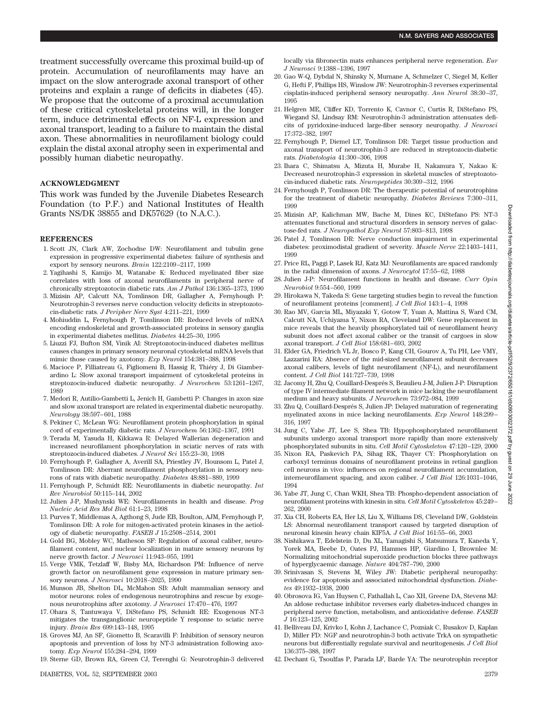treatment successfully overcame this proximal build-up of protein. Accumulation of neurofilaments may have an impact on the slow anterograde axonal transport of other proteins and explain a range of deficits in diabetes (45). We propose that the outcome of a proximal accumulation of these critical cytoskeletal proteins will, in the longer term, induce detrimental effects on NF-L expression and axonal transport, leading to a failure to maintain the distal axon. These abnormalities in neurofilament biology could explain the distal axonal atrophy seen in experimental and possibly human diabetic neuropathy.

#### **ACKNOWLEDGMENT**

This work was funded by the Juvenile Diabetes Research Foundation (to P.F.) and National Institutes of Health Grants NS/DK 38855 and DK57629 (to N.A.C.).

#### **REFERENCES**

- 1. Scott JN, Clark AW, Zochodne DW: Neurofilament and tubulin gene expression in progressive experimental diabetes: failure of synthesis and export by sensory neurons. *Brain* 122:2109–2117, 1999
- 2. Yagihashi S, Kamijo M, Watanabe K: Reduced myelinated fiber size correlates with loss of axonal neurofilaments in peripheral nerve of chronically streptozotocin diabetic rats. *Am J Pathol* 136:1365–1373, 1990
- 3. Mizisin AP, Calcutt NA, Tomlinson DR, Gallagher A, Fernyhough P: Neurotrophin-3 reverses nerve conduction velocity deficits in streptozotocin-diabetic rats. *J Peripher Nerv Syst* 4:211–221, 1999
- 4. Mohiuddin L, Fernyhough P, Tomlinson DR: Reduced levels of mRNA encoding endoskeletal and growth-associated proteins in sensory ganglia in experimental diabetes mellitus. *Diabetes* 44:25–30, 1995
- 5. Liuzzi FJ, Bufton SM, Vinik AI: Streptozotocin-induced diabetes mellitus causes changes in primary sensory neuronal cytoskeletal mRNA levels that mimic those caused by axotomy. *Exp Neurol* 154:381–388, 1998
- 6. Macioce P, Filliatreau G, Figliomeni B, Hassig R, Thiéry J, Di Giamberardino L: Slow axonal transport impairment of cytoskeletal proteins in streptozocin-induced diabetic neuropathy. *J Neurochem* 53:1261–1267, 1989
- 7. Medori R, Autilio-Gambetti L, Jenich H, Gambetti P: Changes in axon size and slow axonal transport are related in experimental diabetic neuropathy. *Neurology* 38:597–601, 1988
- 8. Pekiner C, McLean WG: Neurofilament protein phosphorylation in spinal cord of experimentally diabetic rats. *J Neurochem* 56:1362–1367, 1991
- 9. Terada M, Yasuda H, Kikkawa R: Delayed Wallerian degeneration and increased neurofilament phosphorylation in sciatic nerves of rats with streptozocin-induced diabetes. *J Neurol Sci* 155:23–30, 1998
- 10. Fernyhough P, Gallagher A, Averill SA, Priestley JV, Hounsom L, Patel J, Tomlinson DR: Aberrant neurofilament phosphorylation in sensory neurons of rats with diabetic neuropathy. *Diabetes* 48:881–889, 1999
- 11. Fernyhough P, Schmidt RE: Neurofilaments in diabetic neuropathy. *Int Rev Neurobiol* 50:115–144, 2002
- 12. Julien J-P, Mushynski WE: Neurofilaments in health and disease. *Prog Nucleic Acid Res Mol Biol* 61:1–23, 1998
- 13. Purves T, Middlemas A, Agthong S, Jude EB, Boulton, AJM, Fernyhough P, Tomlinson DR: A role for mitogen-activated protein kinases in the aetiology of diabetic neuropathy. *FASEB J* 15:2508–2514, 2001
- 14. Gold BG, Mobley WC, Matheson SF: Regulation of axonal caliber, neurofilament content, and nuclear localization in mature sensory neurons by nerve growth factor. *J Neurosci* 11:943–955, 1991
- 15. Verge VMK, Tetzlaff W, Bisby MA, Richardson PM: Influence of nerve growth factor on neurofilament gene expression in mature primary sensory neurons. *J Neurosci* 10:2018–2025, 1990
- 16. Munson JB, Shelton DL, McMahon SB: Adult mammalian sensory and motor neurons: roles of endogenous neurotrophins and rescue by exogenous neurotrophins after axotomy. *J Neurosci* 17:470–476, 1997
- 17. Ohara S, Tantuwaya V, DiStefano PS, Schmidt RE: Exogenous NT-3 mitigates the transganglionic neuropeptide Y response to sciatic nerve injury. *Brain Res* 699:143–148, 1995
- 18. Groves MJ, An SF, Giometto B, Scaravilli F: Inhibition of sensory neuron apoptosis and prevention of loss by NT-3 administration following axotomy. *Exp Neurol* 155:284–294, 1999
- 19. Sterne GD, Brown RA, Green CJ, Terenghi G: Neurotrophin-3 delivered

locally via fibronectin mats enhances peripheral nerve regeneration. *Eur J Neurosci* 9:1388–1396, 1997

- 20. Gao W-Q, Dybdal N, Shinsky N, Murnane A, Schmelzer C, Siegel M, Keller G, Hefti F, Phillips HS, Winslow JW: Neurotrophin-3 reverses experimental cisplatin-induced peripheral sensory neuropathy. *Ann Neurol* 38:30–37, 1995
- 21. Helgren ME, Cliffer KD, Torrento K, Cavnor C, Curtis R, DiStefano PS, Wiegand SJ, Lindsay RM: Neurotrophin-3 administration attenuates deficits of pyridoxine-induced large-fiber sensory neuropathy. *J Neurosci* 17:372–382, 1997
- 22. Fernyhough P, Diemel LT, Tomlinson DR: Target tissue production and axonal transport of neurotrophin-3 are reduced in streptozocin-diabetic rats. *Diabetologia* 41:300–306, 1998
- 23. Ihara C, Shimatsu A, Mizuta H, Murabe H, Nakamura Y, Nakao K: Decreased neurotrophin-3 expression in skeletal muscles of streptozotocin-induced diabetic rats. *Neuropeptides* 30:309–312, 1996
- 24. Fernyhough P, Tomlinson DR: The therapeutic potential of neurotrophins for the treatment of diabetic neuropathy. *Diabetes Reviews* 7:300–311, 1999
- 25. Mizisin AP, Kalichman MW, Bache M, Dines KC, DiStefano PS: NT-3 attenuates functional and structural disorders in sensory nerves of galactose-fed rats. *J Neuropathol Exp Neurol* 57:803–813, 1998
- 26. Patel J, Tomlinson DR: Nerve conduction impairment in experimental diabetes: proximodistal gradient of severity. *Muscle Nerve* 22:1403–1411, 1999
- 27. Price RL, Paggi P, Lasek RJ, Katz MJ: Neurofilaments are spaced randomly in the radial dimension of axons. *J Neurocytol* 17:55–62, 1988
- 28. Julien J-P: Neurofilament functions in health and disease. *Curr Opin Neurobiol* 9:554–560, 1999
- 29. Hirokawa N, Takeda S: Gene targeting studies begin to reveal the function of neurofilament proteins [comment]. *J Cell Biol* 143:1–4, 1998
- 30. Rao MV, Garcia ML, Miyazaki Y, Gotow T, Yuan A, Mattina S, Ward CM, Calcutt NA, Uchiyama Y, Nixon RA, Cleveland DW: Gene replacement in mice reveals that the heavily phosphorylated tail of neurofilament heavy subunit does not affect axonal caliber or the transit of cargoes in slow axonal transport. *J Cell Biol* 158:681–693, 2002
- 31. Elder GA, Friedrich VL Jr, Bosco P, Kang CH, Gourov A, Tu PH, Lee VMY, Lazzarini RA: Absence of the mid-sized neurofilament subunit decreases axonal calibers, levels of light neurofilament (NF-L), and neurofilament content. *J Cell Biol* 141:727–739, 1998
- 32. Jacomy H, Zhu Q, Couillard-Després S, Beaulieu J-M, Julien J-P: Disruption of type IV intermediate filament network in mice lacking the neurofilament medium and heavy subunits. *J Neurochem* 73:972–984, 1999
- 33. Zhu Q, Couillard-Després S, Julien JP: Delayed maturation of regenerating myelinated axons in mice lacking neurofilaments. *Exp Neurol* 148:299– 316, 1997
- 34. Jung C, Yabe JT, Lee S, Shea TB: Hypophosphorylated neurofilament subunits undergo axonal transport more rapidly than more extensively phosphorylated subunits in situ. *Cell Motil Cytoskeleton* 47:120–129, 2000
- 35. Nixon RA, Paskevich PA, Sihag RK, Thayer CY: Phosphorylation on carboxyl terminus domains of neurofilament proteins in retinal ganglion cell neurons in vivo: influences on regional neurofilament accumulation, interneurofilament spacing, and axon caliber. *J Cell Biol* 126:1031–1046, 1994
- 36. Yabe JT, Jung C, Chan WKH, Shea TB: Phospho-dependent association of neurofilament proteins with kinesin in situ. *Cell Motil Cytoskeleton* 45:249– 262, 2000
- 37. Xia CH, Roberts EA, Her LS, Liu X, Williams DS, Cleveland DW, Goldstein LS: Abnormal neurofilament transport caused by targeted disruption of neuronal kinesin heavy chain KIF5A. *J Cell Biol* 161:55–66, 2003
- 38. Nishikawa T, Edelstein D, Du XL, Yamagishi S, Matsumura T, Kaneda Y, Yorek MA, Beebe D, Oates PJ, Hammes HP, Giardino I, Brownlee M: Normalizing mitochondrial superoxide production blocks three pathways of hyperglycaemic damage. *Nature* 404:787–790, 2000
- 39. Srinivasan S, Stevens M, Wiley JW: Diabetic peripheral neuropathy: evidence for apoptosis and associated mitochondrial dysfunction. *Diabetes* 49:1932–1938, 2000
- 40. Obrosova IG, Van Huysen C, Fathallah L, Cao XH, Greene DA, Stevens MJ: An aldose reductase inhibitor reverses early diabetes-induced changes in peripheral nerve function, metabolism, and antioxidative defense. *FASEB J* 16:123–125, 2002
- 41. Belliveau DJ, Krivko I, Kohn J, Lachance C, Pozniak C, Rusakov D, Kaplan D, Miller FD: NGF and neurotrophin-3 both activate TrkA on sympathetic neurons but differentially regulate survival and neuritogenesis. *J Cell Biol* 136:375–388, 1997
- 42. Dechant G, Tsoulfas P, Parada LF, Barde YA: The neurotrophin receptor